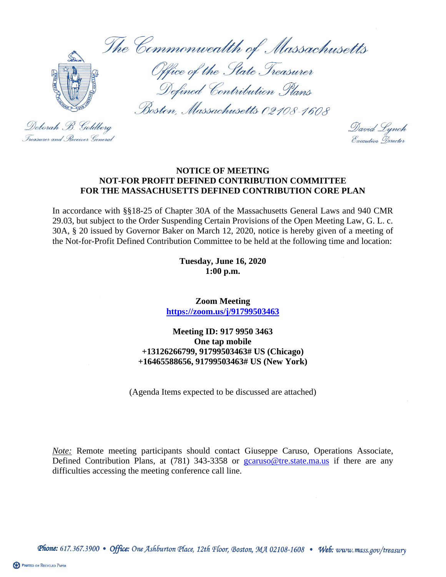The Commonwealth of Massachusetts



Office of the State Treasurer Defined Contribution Plans

Boston, Massachusetts 02108-1608

Deborah B. Goldberg Treasurer and . Receiver General

David Lynch Execution Director

## **NOTICE OF MEETING NOT-FOR PROFIT DEFINED CONTRIBUTION COMMITTEE FOR THE MASSACHUSETTS DEFINED CONTRIBUTION CORE PLAN**

In accordance with §§18-25 of Chapter 30A of the Massachusetts General Laws and 940 CMR 29.03, but subject to the Order Suspending Certain Provisions of the Open Meeting Law, G. L. c. 30A, § 20 issued by Governor Baker on March 12, 2020, notice is hereby given of a meeting of the Not-for-Profit Defined Contribution Committee to be held at the following time and location:

> **Tuesday, June 16, 2020 1:00 p.m.**

**Zoom Meeting <https://zoom.us/j/91799503463>**

**Meeting ID: 917 9950 3463 One tap mobile +13126266799, 91799503463# US (Chicago) +16465588656, 91799503463# US (New York)**

(Agenda Items expected to be discussed are attached)

*Note:* Remote meeting participants should contact Giuseppe Caruso, Operations Associate, Defined Contribution Plans, at (781) 343-3358 or [gcaruso@tre.state.ma.us](mailto:gcaruso@tre.state.ma.us) if there are any difficulties accessing the meeting conference call line.

Phone: 617.367.3900 • Office: One Ashburton Place, 12th Floor, Boston, MA 02108-1608 • Web: www.mass.gov/treasury